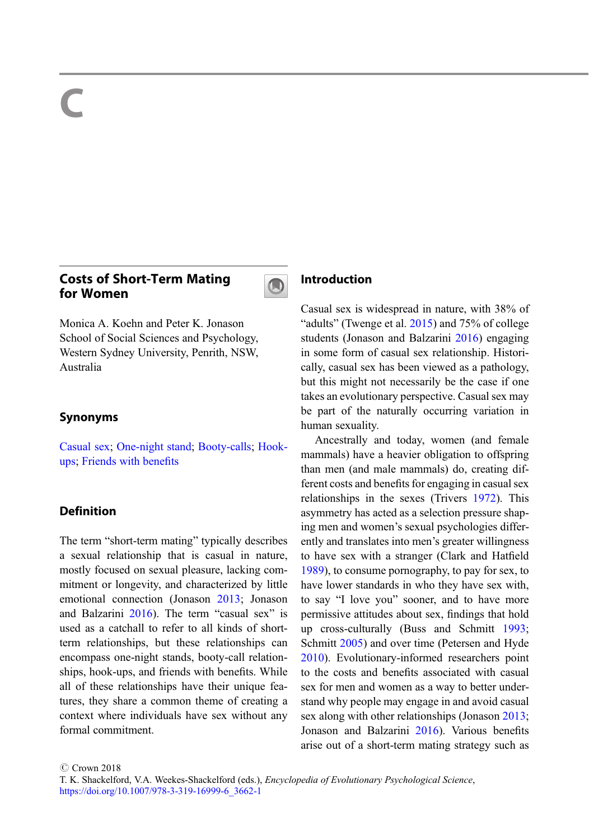# Costs of Short-Term Mating for Women



Monica A. Koehn and Peter K. Jonason School of Social Sciences and Psychology, Western Sydney University, Penrith, NSW, Australia

### Synonyms

[Casual sex](http://link.springer.com/Casual sex); [One-night stand](http://link.springer.com/One-night stand); [Booty-calls](http://link.springer.com/Booty-calls); [Hook](http://link.springer.com/Hook-ups)[ups;](http://link.springer.com/Hook-ups) [Friends with bene](http://link.springer.com/Friends with benefits)fits

# **Definition**

The term "short-term mating" typically describes a sexual relationship that is casual in nature, mostly focused on sexual pleasure, lacking commitment or longevity, and characterized by little emotional connection (Jonason [2013](#page-4-0); Jonason and Balzarini [2016\)](#page-5-0). The term "casual sex" is used as a catchall to refer to all kinds of shortterm relationships, but these relationships can encompass one-night stands, booty-call relationships, hook-ups, and friends with benefits. While all of these relationships have their unique features, they share a common theme of creating a context where individuals have sex without any formal commitment.

# Introduction

Casual sex is widespread in nature, with 38% of "adults" (Twenge et al. [2015](#page-5-0)) and 75% of college students (Jonason and Balzarini [2016](#page-5-0)) engaging in some form of casual sex relationship. Historically, casual sex has been viewed as a pathology, but this might not necessarily be the case if one takes an evolutionary perspective. Casual sex may be part of the naturally occurring variation in human sexuality.

Ancestrally and today, women (and female mammals) have a heavier obligation to offspring than men (and male mammals) do, creating different costs and benefits for engaging in casual sex relationships in the sexes (Trivers [1972](#page-5-0)). This asymmetry has acted as a selection pressure shaping men and women's sexual psychologies differently and translates into men's greater willingness to have sex with a stranger (Clark and Hatfield [1989\)](#page-4-0), to consume pornography, to pay for sex, to have lower standards in who they have sex with, to say "I love you" sooner, and to have more permissive attitudes about sex, findings that hold up cross-culturally (Buss and Schmitt [1993;](#page-4-0) Schmitt [2005](#page-5-0)) and over time (Petersen and Hyde [2010\)](#page-5-0). Evolutionary-informed researchers point to the costs and benefits associated with casual sex for men and women as a way to better understand why people may engage in and avoid casual sex along with other relationships (Jonason [2013;](#page-4-0) Jonason and Balzarini [2016](#page-5-0)). Various benefits arise out of a short-term mating strategy such as

C Crown 2018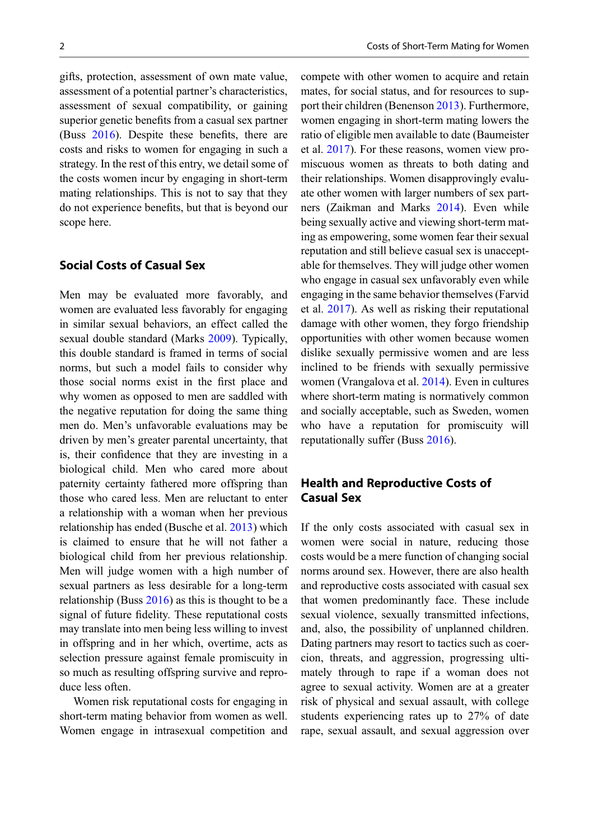gifts, protection, assessment of own mate value, assessment of a potential partner's characteristics, assessment of sexual compatibility, or gaining superior genetic benefits from a casual sex partner (Buss [2016\)](#page-4-0). Despite these benefits, there are costs and risks to women for engaging in such a strategy. In the rest of this entry, we detail some of the costs women incur by engaging in short-term mating relationships. This is not to say that they do not experience benefits, but that is beyond our scope here.

### Social Costs of Casual Sex

Men may be evaluated more favorably, and women are evaluated less favorably for engaging in similar sexual behaviors, an effect called the sexual double standard (Marks [2009](#page-5-0)). Typically, this double standard is framed in terms of social norms, but such a model fails to consider why those social norms exist in the first place and why women as opposed to men are saddled with the negative reputation for doing the same thing men do. Men's unfavorable evaluations may be driven by men's greater parental uncertainty, that is, their confidence that they are investing in a biological child. Men who cared more about paternity certainty fathered more offspring than those who cared less. Men are reluctant to enter a relationship with a woman when her previous relationship has ended (Busche et al. [2013\)](#page-4-0) which is claimed to ensure that he will not father a biological child from her previous relationship. Men will judge women with a high number of sexual partners as less desirable for a long-term relationship (Buss  $2016$ ) as this is thought to be a signal of future fidelity. These reputational costs may translate into men being less willing to invest in offspring and in her which, overtime, acts as selection pressure against female promiscuity in so much as resulting offspring survive and reproduce less often.

Women risk reputational costs for engaging in short-term mating behavior from women as well. Women engage in intrasexual competition and compete with other women to acquire and retain mates, for social status, and for resources to support their children (Benenson [2013](#page-4-0)). Furthermore, women engaging in short-term mating lowers the ratio of eligible men available to date (Baumeister et al. [2017](#page-4-0)). For these reasons, women view promiscuous women as threats to both dating and their relationships. Women disapprovingly evaluate other women with larger numbers of sex partners (Zaikman and Marks [2014](#page-5-0)). Even while being sexually active and viewing short-term mating as empowering, some women fear their sexual reputation and still believe casual sex is unacceptable for themselves. They will judge other women who engage in casual sex unfavorably even while engaging in the same behavior themselves (Farvid et al. [2017\)](#page-4-0). As well as risking their reputational damage with other women, they forgo friendship opportunities with other women because women dislike sexually permissive women and are less inclined to be friends with sexually permissive women (Vrangalova et al. [2014\)](#page-5-0). Even in cultures where short-term mating is normatively common and socially acceptable, such as Sweden, women who have a reputation for promiscuity will reputationally suffer (Buss [2016\)](#page-4-0).

# Health and Reproductive Costs of Casual Sex

If the only costs associated with casual sex in women were social in nature, reducing those costs would be a mere function of changing social norms around sex. However, there are also health and reproductive costs associated with casual sex that women predominantly face. These include sexual violence, sexually transmitted infections, and, also, the possibility of unplanned children. Dating partners may resort to tactics such as coercion, threats, and aggression, progressing ultimately through to rape if a woman does not agree to sexual activity. Women are at a greater risk of physical and sexual assault, with college students experiencing rates up to 27% of date rape, sexual assault, and sexual aggression over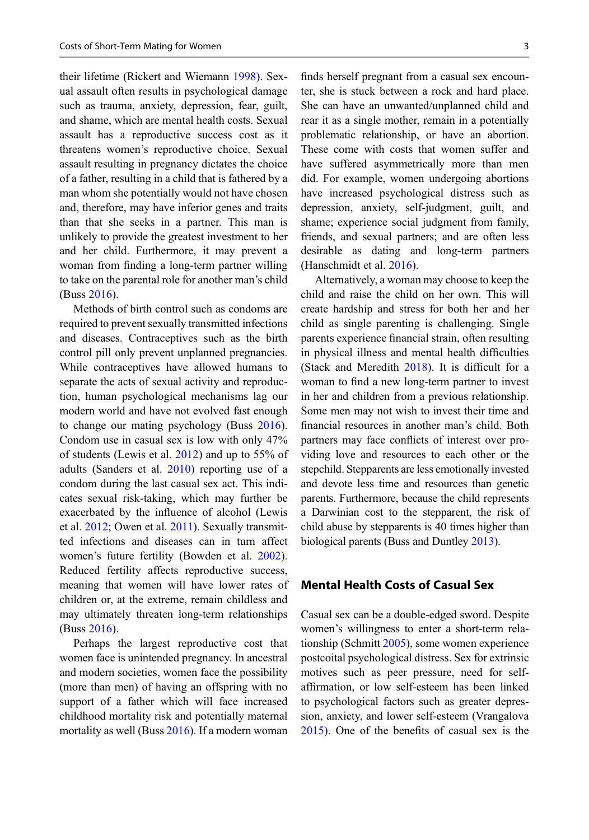their lifetime (Rickert and Wiemann [1998\)](#page-5-0). Sexual assault often results in psychological damage such as trauma, anxiety, depression, fear, guilt, and shame, which are mental health costs. Sexual assault has a reproductive success cost as it threatens women's reproductive choice. Sexual assault resulting in pregnancy dictates the choice of a father, resulting in a child that is fathered by a man whom she potentially would not have chosen and, therefore, may have inferior genes and traits than that she seeks in a partner. This man is unlikely to provide the greatest investment to her and her child. Furthermore, it may prevent a woman from finding a long-term partner willing to take on the parental role for another man's child (Buss [2016](#page-4-0)).

Methods of birth control such as condoms are required to prevent sexually transmitted infections and diseases. Contraceptives such as the birth control pill only prevent unplanned pregnancies. While contraceptives have allowed humans to separate the acts of sexual activity and reproduction, human psychological mechanisms lag our modern world and have not evolved fast enough to change our mating psychology (Buss [2016\)](#page-4-0). Condom use in casual sex is low with only 47% of students (Lewis et al. [2012](#page-5-0)) and up to 55% of adults (Sanders et al. [2010\)](#page-5-0) reporting use of a condom during the last casual sex act. This indicates sexual risk-taking, which may further be exacerbated by the influence of alcohol (Lewis et al. [2012;](#page-5-0) Owen et al. [2011\)](#page-5-0). Sexually transmitted infections and diseases can in turn affect women's future fertility (Bowden et al. [2002\)](#page-4-0). Reduced fertility affects reproductive success, meaning that women will have lower rates of children or, at the extreme, remain childless and may ultimately threaten long-term relationships (Buss [2016](#page-4-0)).

Perhaps the largest reproductive cost that women face is unintended pregnancy. In ancestral and modern societies, women face the possibility (more than men) of having an offspring with no support of a father which will face increased childhood mortality risk and potentially maternal mortality as well (Buss [2016\)](#page-4-0). If a modern woman finds herself pregnant from a casual sex encounter, she is stuck between a rock and hard place. She can have an unwanted/unplanned child and rear it as a single mother, remain in a potentially problematic relationship, or have an abortion. These come with costs that women suffer and have suffered asymmetrically more than men did. For example, women undergoing abortions have increased psychological distress such as depression, anxiety, self-judgment, guilt, and shame; experience social judgment from family, friends, and sexual partners; and are often less desirable as dating and long-term partners (Hanschmidt et al. [2016](#page-4-0)).

Alternatively, a woman may choose to keep the child and raise the child on her own. This will create hardship and stress for both her and her child as single parenting is challenging. Single parents experience financial strain, often resulting in physical illness and mental health difficulties (Stack and Meredith [2018\)](#page-5-0). It is difficult for a woman to find a new long-term partner to invest in her and children from a previous relationship. Some men may not wish to invest their time and financial resources in another man's child. Both partners may face conflicts of interest over providing love and resources to each other or the stepchild. Stepparents are less emotionally invested and devote less time and resources than genetic parents. Furthermore, because the child represents a Darwinian cost to the stepparent, the risk of child abuse by stepparents is 40 times higher than biological parents (Buss and Duntley [2013\)](#page-4-0).

#### Mental Health Costs of Casual Sex

Casual sex can be a double-edged sword. Despite women's willingness to enter a short-term relationship (Schmitt [2005](#page-5-0)), some women experience postcoital psychological distress. Sex for extrinsic motives such as peer pressure, need for selfaffirmation, or low self-esteem has been linked to psychological factors such as greater depression, anxiety, and lower self-esteem (Vrangalova [2015\)](#page-5-0). One of the benefits of casual sex is the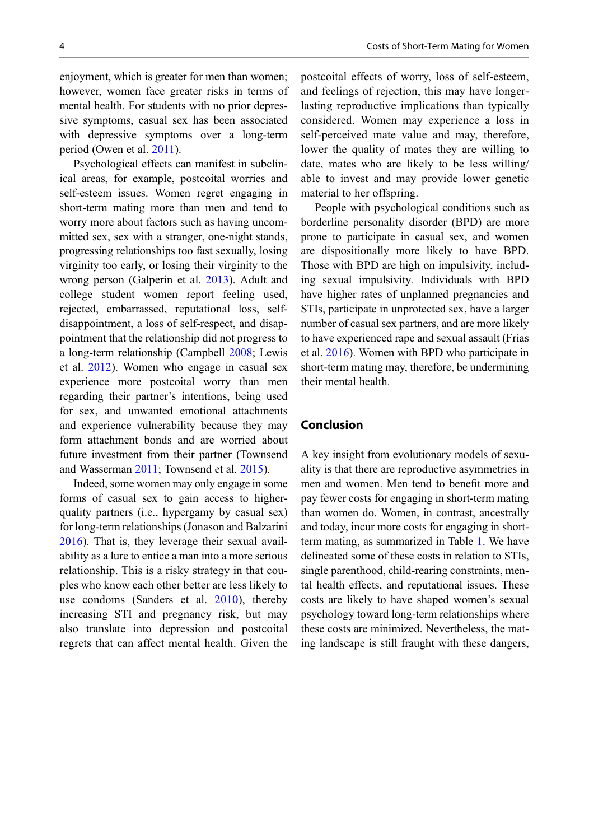enjoyment, which is greater for men than women; however, women face greater risks in terms of mental health. For students with no prior depressive symptoms, casual sex has been associated with depressive symptoms over a long-term period (Owen et al. [2011\)](#page-5-0).

Psychological effects can manifest in subclinical areas, for example, postcoital worries and self-esteem issues. Women regret engaging in short-term mating more than men and tend to worry more about factors such as having uncommitted sex, sex with a stranger, one-night stands, progressing relationships too fast sexually, losing virginity too early, or losing their virginity to the wrong person (Galperin et al. [2013](#page-4-0)). Adult and college student women report feeling used, rejected, embarrassed, reputational loss, selfdisappointment, a loss of self-respect, and disappointment that the relationship did not progress to a long-term relationship (Campbell [2008](#page-4-0); Lewis et al. [2012\)](#page-5-0). Women who engage in casual sex experience more postcoital worry than men regarding their partner's intentions, being used for sex, and unwanted emotional attachments and experience vulnerability because they may form attachment bonds and are worried about future investment from their partner (Townsend and Wasserman [2011;](#page-5-0) Townsend et al. [2015\)](#page-5-0).

Indeed, some women may only engage in some forms of casual sex to gain access to higherquality partners (i.e., hypergamy by casual sex) for long-term relationships (Jonason and Balzarini [2016\)](#page-5-0). That is, they leverage their sexual availability as a lure to entice a man into a more serious relationship. This is a risky strategy in that couples who know each other better are less likely to use condoms (Sanders et al. [2010](#page-5-0)), thereby increasing STI and pregnancy risk, but may also translate into depression and postcoital regrets that can affect mental health. Given the

postcoital effects of worry, loss of self-esteem, and feelings of rejection, this may have longerlasting reproductive implications than typically considered. Women may experience a loss in self-perceived mate value and may, therefore, lower the quality of mates they are willing to date, mates who are likely to be less willing/ able to invest and may provide lower genetic material to her offspring.

People with psychological conditions such as borderline personality disorder (BPD) are more prone to participate in casual sex, and women are dispositionally more likely to have BPD. Those with BPD are high on impulsivity, including sexual impulsivity. Individuals with BPD have higher rates of unplanned pregnancies and STIs, participate in unprotected sex, have a larger number of casual sex partners, and are more likely to have experienced rape and sexual assault (Frías et al. [2016](#page-4-0)). Women with BPD who participate in short-term mating may, therefore, be undermining their mental health.

#### Conclusion

A key insight from evolutionary models of sexuality is that there are reproductive asymmetries in men and women. Men tend to benefit more and pay fewer costs for engaging in short-term mating than women do. Women, in contrast, ancestrally and today, incur more costs for engaging in shortterm mating, as summarized in Table [1.](#page-4-0) We have delineated some of these costs in relation to STIs, single parenthood, child-rearing constraints, mental health effects, and reputational issues. These costs are likely to have shaped women's sexual psychology toward long-term relationships where these costs are minimized. Nevertheless, the mating landscape is still fraught with these dangers,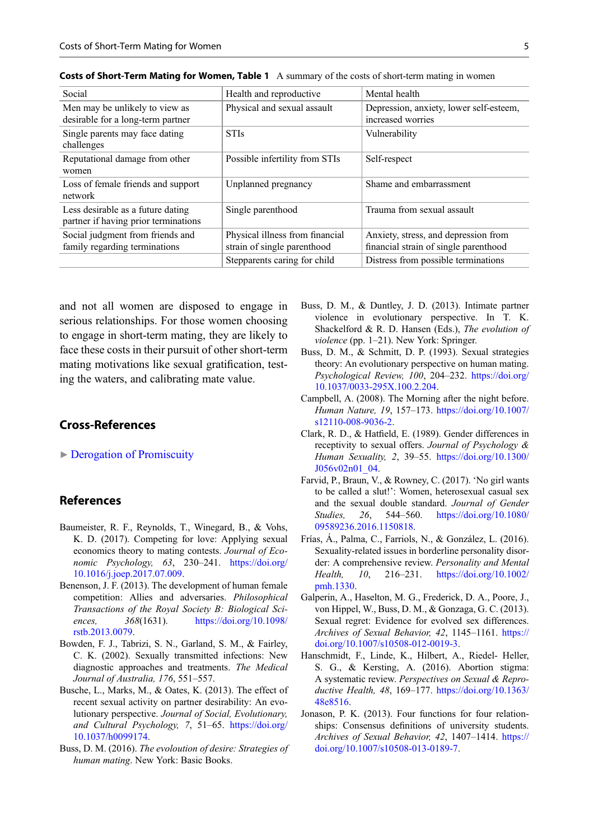| Social                                                                    | Health and reproductive                                        | Mental health                                                                 |
|---------------------------------------------------------------------------|----------------------------------------------------------------|-------------------------------------------------------------------------------|
| Men may be unlikely to view as<br>desirable for a long-term partner       | Physical and sexual assault                                    | Depression, anxiety, lower self-esteem,<br>increased worries                  |
| Single parents may face dating<br>challenges                              | <b>STIs</b>                                                    | Vulnerability                                                                 |
| Reputational damage from other<br>women                                   | Possible infertility from STIs                                 | Self-respect                                                                  |
| Loss of female friends and support<br>network                             | Unplanned pregnancy                                            | Shame and embarrassment                                                       |
| Less desirable as a future dating<br>partner if having prior terminations | Single parenthood                                              | Trauma from sexual assault                                                    |
| Social judgment from friends and<br>family regarding terminations         | Physical illness from financial<br>strain of single parenthood | Anxiety, stress, and depression from<br>financial strain of single parenthood |
|                                                                           | Stepparents caring for child                                   | Distress from possible terminations                                           |

<span id="page-4-0"></span>Costs of Short-Term Mating for Women, Table 1 A summary of the costs of short-term mating in women

and not all women are disposed to engage in serious relationships. For those women choosing to engage in short-term mating, they are likely to face these costs in their pursuit of other short-term mating motivations like sexual gratification, testing the waters, and calibrating mate value.

# Cross-References

▶ [Derogation of Promiscuity](http://link.springer.com/Derogation of Promiscuity)

#### References

- Baumeister, R. F., Reynolds, T., Winegard, B., & Vohs, K. D. (2017). Competing for love: Applying sexual economics theory to mating contests. Journal of Economic Psychology, 63, 230–241. [https://doi.org/](https://doi.org/10.1016/j.joep.2017.07.009) [10.1016/j.joep.2017.07.009](https://doi.org/10.1016/j.joep.2017.07.009).
- Benenson, J. F. (2013). The development of human female competition: Allies and adversaries. Philosophical Transactions of the Royal Society B: Biological Sciences, 368(1631). [https://doi.org/10.1098/](https://doi.org/10.1098/rstb.2013.0079) [rstb.2013.0079.](https://doi.org/10.1098/rstb.2013.0079)
- Bowden, F. J., Tabrizi, S. N., Garland, S. M., & Fairley, C. K. (2002). Sexually transmitted infections: New diagnostic approaches and treatments. The Medical Journal of Australia, 176, 551–557.
- Busche, L., Marks, M., & Oates, K. (2013). The effect of recent sexual activity on partner desirability: An evolutionary perspective. Journal of Social, Evolutionary, and Cultural Psychology, 7, 51–65. [https://doi.org/](https://doi.org/10.1037/h0099174) [10.1037/h0099174.](https://doi.org/10.1037/h0099174)
- Buss, D. M. (2016). The evoloution of desire: Strategies of human mating. New York: Basic Books.
- Buss, D. M., & Duntley, J. D. (2013). Intimate partner violence in evolutionary perspective. In T. K. Shackelford & R. D. Hansen (Eds.), The evolution of violence (pp. 1–21). New York: Springer.
- Buss, D. M., & Schmitt, D. P. (1993). Sexual strategies theory: An evolutionary perspective on human mating. Psychological Review, 100, 204–232. [https://doi.org/](https://doi.org/10.1037/0033-295X.100.2.204) [10.1037/0033-295X.100.2.204](https://doi.org/10.1037/0033-295X.100.2.204).
- Campbell, A. (2008). The Morning after the night before. Human Nature, 19, 157–173. [https://doi.org/10.1007/](https://doi.org/10.1007/s12110-008-9036-2) [s12110-008-9036-2](https://doi.org/10.1007/s12110-008-9036-2).
- Clark, R. D., & Hatfield, E. (1989). Gender differences in receptivity to sexual offers. Journal of Psychology & Human Sexuality, 2, 39–55. [https://doi.org/10.1300/](https://doi.org/10.1300/J056v02n01_04) [J056v02n01\\_04.](https://doi.org/10.1300/J056v02n01_04)
- Farvid, P., Braun, V., & Rowney, C. (2017). 'No girl wants to be called a slut!': Women, heterosexual casual sex and the sexual double standard. Journal of Gender Studies, 26, 544–560. [https://doi.org/10.1080/](https://doi.org/10.1080/09589236.2016.1150818) [09589236.2016.1150818](https://doi.org/10.1080/09589236.2016.1150818).
- Frías, Á., Palma, C., Farriols, N., & González, L. (2016). Sexuality-related issues in borderline personality disorder: A comprehensive review. Personality and Mental Health, 10, 216–231. [https://doi.org/10.1002/](https://doi.org/10.1002/pmh.1330) [pmh.1330.](https://doi.org/10.1002/pmh.1330)
- Galperin, A., Haselton, M. G., Frederick, D. A., Poore, J., von Hippel, W., Buss, D. M., & Gonzaga, G. C. (2013). Sexual regret: Evidence for evolved sex differences. Archives of Sexual Behavior, 42, 1145-1161. [https://](https://doi.org/10.1007/s10508-012-0019-3) [doi.org/10.1007/s10508-012-0019-3.](https://doi.org/10.1007/s10508-012-0019-3)
- Hanschmidt, F., Linde, K., Hilbert, A., Riedel- Heller, S. G., & Kersting, A. (2016). Abortion stigma: A systematic review. Perspectives on Sexual & Reproductive Health, 48, 169–177. [https://doi.org/10.1363/](https://doi.org/10.1363/48e8516) [48e8516.](https://doi.org/10.1363/48e8516)
- Jonason, P. K. (2013). Four functions for four relationships: Consensus definitions of university students. Archives of Sexual Behavior, 42, 1407–1414. [https://](https://doi.org/10.1007/s10508-013-0189-7) [doi.org/10.1007/s10508-013-0189-7.](https://doi.org/10.1007/s10508-013-0189-7)